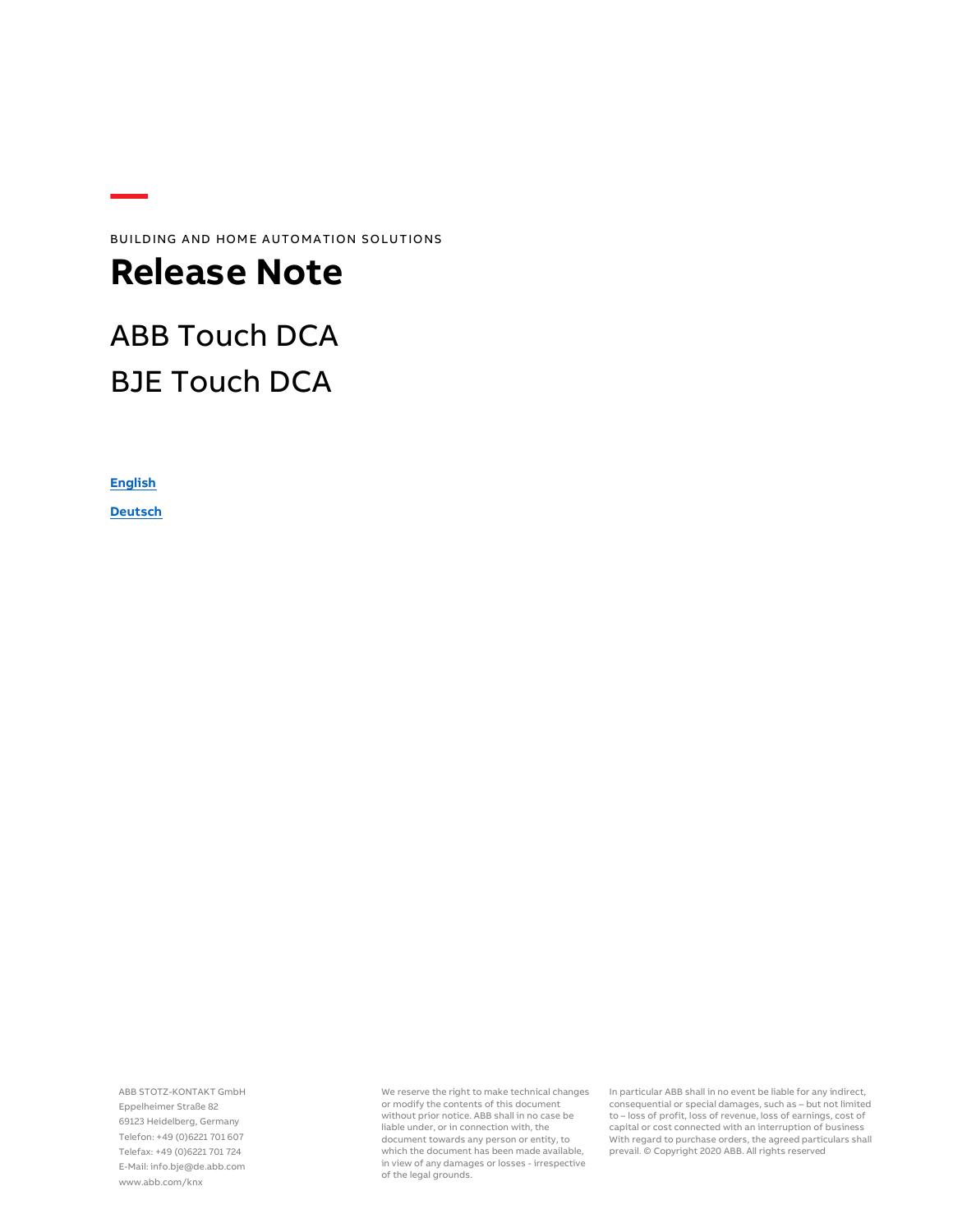BUILDING AND HOME AUTOMATION SOLUTIONS

### **Release Note**

## ABB Touch DCA BJE Touch DCA

**[English](#page-1-0)** 

**[Deutsch](#page-3-0)**

ABB STOTZ-KONTAKT GmbH Eppelheimer Straße 82 69123 Heidelberg, Germany Telefon: +49 (0)6221 701 607 Telefax: +49 (0)6221 701 724 E-Mail: info.bje@de.abb.com www.abb.com/knx

We reserve the right to make technical changes or modify the contents of this document without prior notice. ABB shall in no case be liable under, or in connection with, the document towards any person or entity, to which the document has been made available, in view of any damages or losses - irrespective of the legal grounds.

In particular ABB shall in no event be liable for any indirect, consequential or special damages, such as – but not limited to – loss of profit, loss of revenue, loss of earnings, cost of capital or cost connected with an interruption of business With regard to purchase orders, the agreed particulars shall prevail. © Copyright 2020 ABB. All rights reserved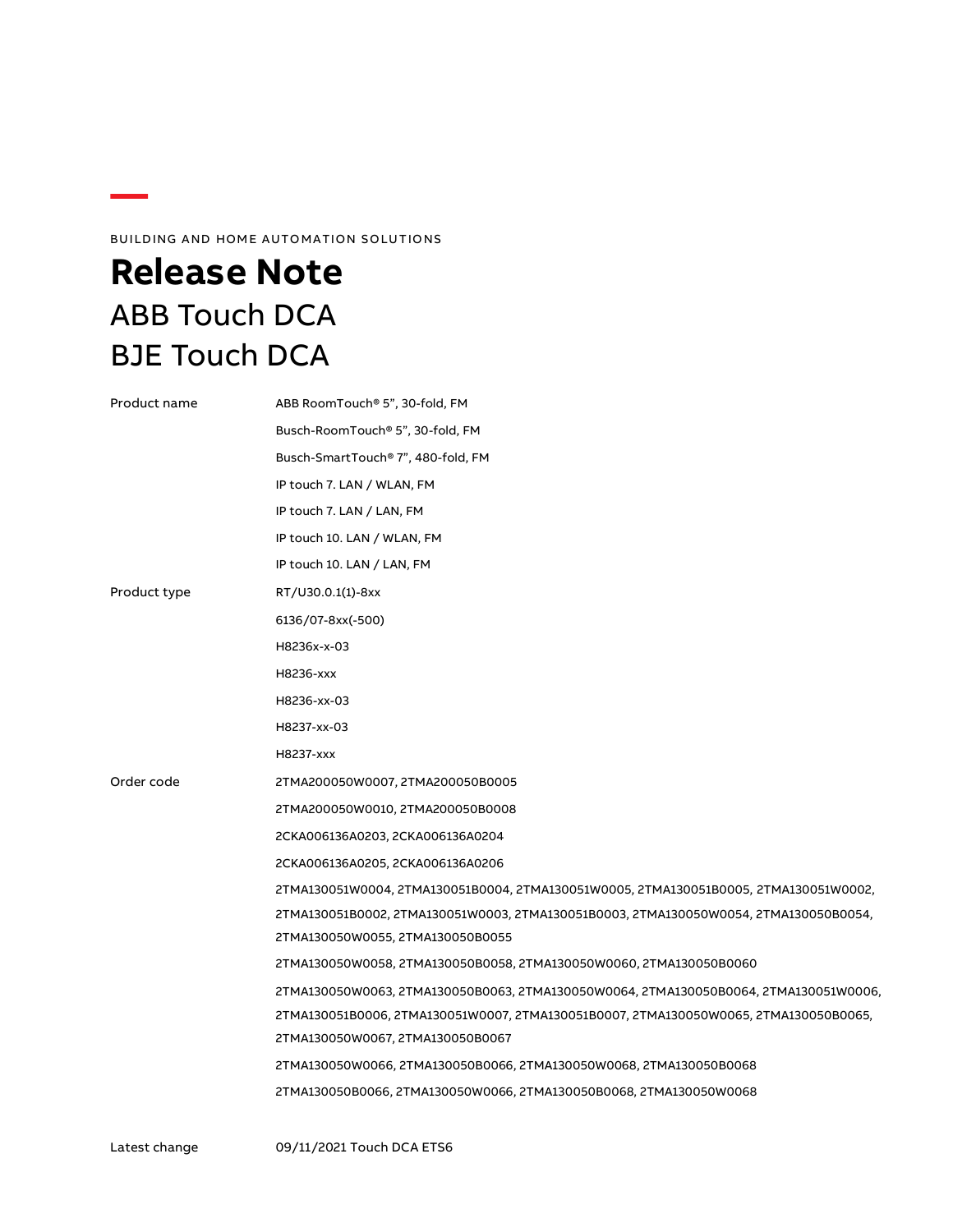### BUILDING AND HOME AUTOMATION SOLUTIONS

# <span id="page-1-0"></span>**Release Note** ABB Touch DCA BJE Touch DCA

| Product name | ABB RoomTouch® 5", 30-fold, FM                                                       |  |  |
|--------------|--------------------------------------------------------------------------------------|--|--|
|              | Busch-RoomTouch® 5", 30-fold, FM                                                     |  |  |
|              | Busch-SmartTouch® 7", 480-fold, FM                                                   |  |  |
|              | IP touch 7. LAN / WLAN, FM                                                           |  |  |
|              | IP touch 7. LAN / LAN, FM                                                            |  |  |
|              | IP touch 10. LAN / WLAN, FM                                                          |  |  |
|              | IP touch 10. LAN / LAN, FM                                                           |  |  |
| Product type | RT/U30.0.1(1)-8xx                                                                    |  |  |
|              | 6136/07-8xx(-500)                                                                    |  |  |
|              | H8236x-x-03                                                                          |  |  |
|              | H8236-xxx                                                                            |  |  |
|              | H8236-xx-03                                                                          |  |  |
|              | H8237-xx-03                                                                          |  |  |
|              | H8237-xxx                                                                            |  |  |
| Order code   | 2TMA200050W0007, 2TMA200050B0005                                                     |  |  |
|              | 2TMA200050W0010, 2TMA200050B0008                                                     |  |  |
|              | 2CKA006136A0203, 2CKA006136A0204                                                     |  |  |
|              | 2CKA006136A0205, 2CKA006136A0206                                                     |  |  |
|              | 2TMA130051W0004, 2TMA130051B0004, 2TMA130051W0005, 2TMA130051B0005, 2TMA130051W0002, |  |  |
|              | 2TMA130051B0002, 2TMA130051W0003, 2TMA130051B0003, 2TMA130050W0054, 2TMA130050B0054, |  |  |
|              | 2TMA130050W0055, 2TMA130050B0055                                                     |  |  |
|              | 2TMA130050W0058, 2TMA130050B0058, 2TMA130050W0060, 2TMA130050B0060                   |  |  |
|              | 2TMA130050W0063, 2TMA130050B0063, 2TMA130050W0064, 2TMA130050B0064, 2TMA130051W0006, |  |  |
|              | 2TMA130051B0006, 2TMA130051W0007, 2TMA130051B0007, 2TMA130050W0065, 2TMA130050B0065, |  |  |
|              | 2TMA130050W0067, 2TMA130050B0067                                                     |  |  |
|              | 2TMA130050W0066, 2TMA130050B0066, 2TMA130050W0068, 2TMA130050B0068                   |  |  |
|              | 2TMA130050B0066, 2TMA130050W0066, 2TMA130050B0068, 2TMA130050W0068                   |  |  |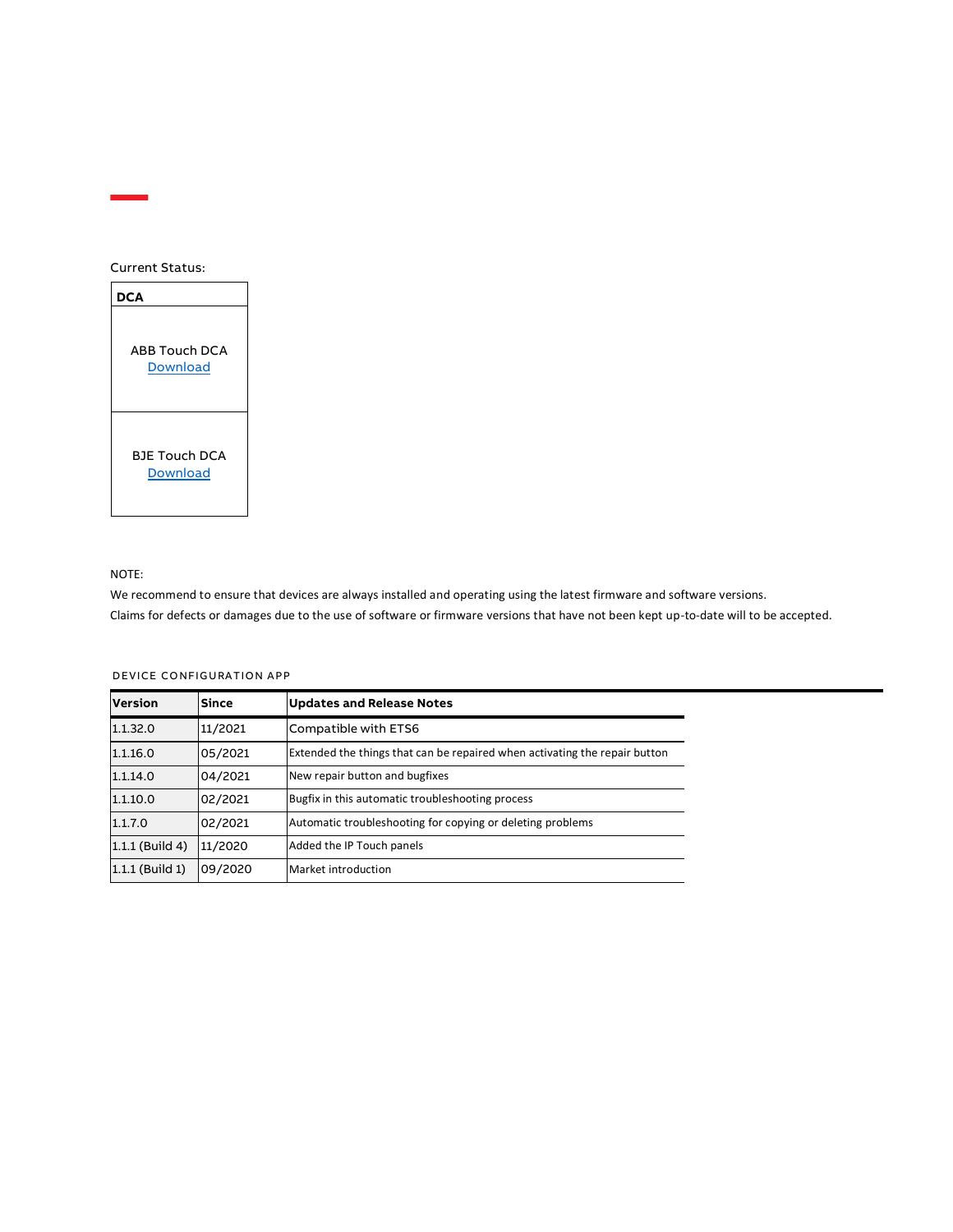#### Current Status:



#### NOTE:

We recommend to ensure that devices are always installed and operating using the latest firmware and software versions. Claims for defects or damages due to the use of software or firmware versions that have not been kept up-to-date will to be accepted.

| <b>Version</b>    | <b>Since</b> | <b>Updates and Release Notes</b>                                           |
|-------------------|--------------|----------------------------------------------------------------------------|
| 1.1.32.0          | 11/2021      | Compatible with ETS6                                                       |
| 1.1.16.0          | 05/2021      | Extended the things that can be repaired when activating the repair button |
| 1.1.14.0          | 04/2021      | New repair button and bugfixes                                             |
| 1.1.10.0          | 02/2021      | Bugfix in this automatic troubleshooting process                           |
| 1.1.7.0           | 02/2021      | Automatic troubleshooting for copying or deleting problems                 |
| $1.1.1$ (Build 4) | 11/2020      | Added the IP Touch panels                                                  |
| $1.1.1$ (Build 1) | 09/2020      | Market introduction                                                        |

#### DEVICE CONFIGURATION APP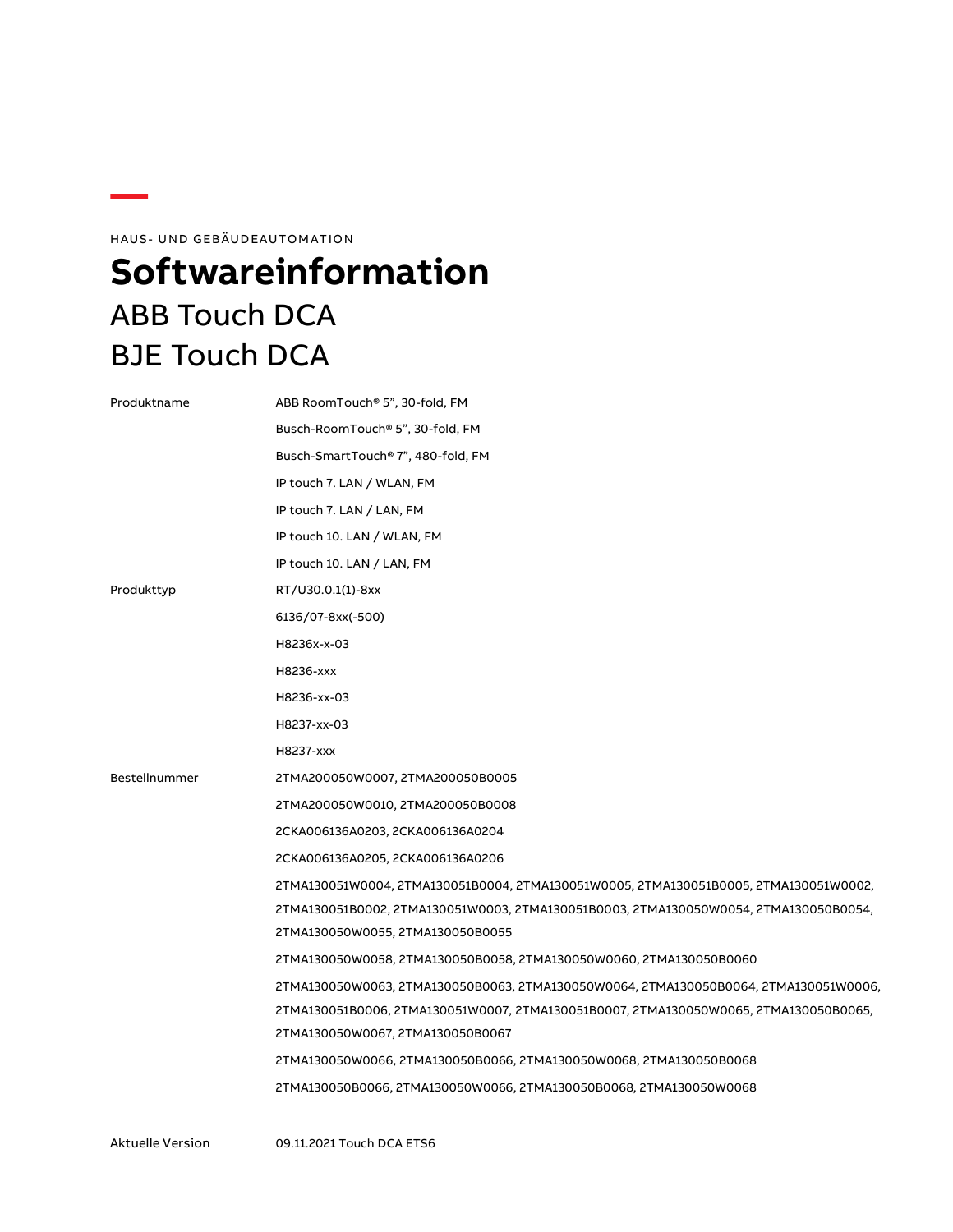HAUS- UND GEBÄUDEAUTOMATION

# <span id="page-3-0"></span>**Softwareinformation** ABB Touch DCA BJE Touch DCA

| Produktname   | ABB RoomTouch® 5", 30-fold, FM                                                       |  |  |
|---------------|--------------------------------------------------------------------------------------|--|--|
|               | Busch-RoomTouch® 5", 30-fold, FM                                                     |  |  |
|               | Busch-SmartTouch® 7", 480-fold, FM                                                   |  |  |
|               | IP touch 7. LAN / WLAN, FM                                                           |  |  |
|               | IP touch 7. LAN / LAN, FM                                                            |  |  |
|               | IP touch 10. LAN / WLAN, FM                                                          |  |  |
|               | IP touch 10. LAN / LAN, FM                                                           |  |  |
| Produkttyp    | RT/U30.0.1(1)-8xx                                                                    |  |  |
|               | 6136/07-8xx(-500)                                                                    |  |  |
|               | H8236x-x-03                                                                          |  |  |
|               | H8236-xxx                                                                            |  |  |
|               | H8236-xx-03                                                                          |  |  |
|               | H8237-xx-03                                                                          |  |  |
|               | H8237-xxx                                                                            |  |  |
| Bestellnummer | 2TMA200050W0007, 2TMA200050B0005                                                     |  |  |
|               | 2TMA200050W0010, 2TMA200050B0008                                                     |  |  |
|               | 2CKA006136A0203, 2CKA006136A0204                                                     |  |  |
|               | 2CKA006136A0205, 2CKA006136A0206                                                     |  |  |
|               | 2TMA130051W0004, 2TMA130051B0004, 2TMA130051W0005, 2TMA130051B0005, 2TMA130051W0002, |  |  |
|               | 2TMA130051B0002, 2TMA130051W0003, 2TMA130051B0003, 2TMA130050W0054, 2TMA130050B0054, |  |  |
|               | 2TMA130050W0055, 2TMA130050B0055                                                     |  |  |
|               | 2TMA130050W0058, 2TMA130050B0058, 2TMA130050W0060, 2TMA130050B0060                   |  |  |
|               | 2TMA130050W0063, 2TMA130050B0063, 2TMA130050W0064, 2TMA130050B0064, 2TMA130051W0006, |  |  |
|               | 2TMA130051B0006, 2TMA130051W0007, 2TMA130051B0007, 2TMA130050W0065, 2TMA130050B0065, |  |  |
|               | 2TMA130050W0067, 2TMA130050B0067                                                     |  |  |
|               | 2TMA130050W0066, 2TMA130050B0066, 2TMA130050W0068, 2TMA130050B0068                   |  |  |
|               | 2TMA130050B0066, 2TMA130050W0066, 2TMA130050B0068, 2TMA130050W0068                   |  |  |